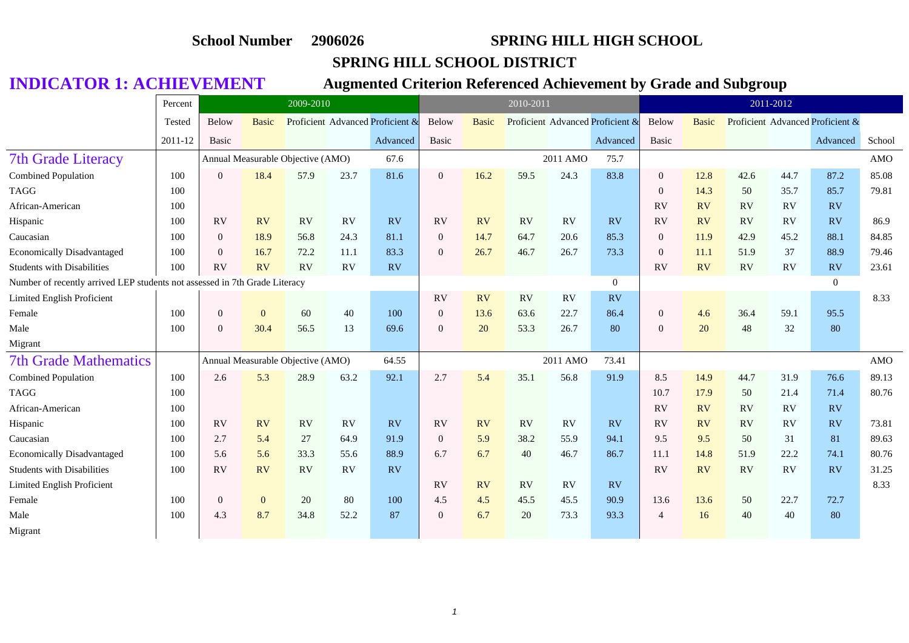### **SPRING HILL SCHOOL DISTRICT**

|                                                                            | Percent |                | 2009-2010    |                                   |      |                                  |                  |              | 2010-2011 |          |                                  |                |              |           | 2011-2012 |                                  |            |
|----------------------------------------------------------------------------|---------|----------------|--------------|-----------------------------------|------|----------------------------------|------------------|--------------|-----------|----------|----------------------------------|----------------|--------------|-----------|-----------|----------------------------------|------------|
|                                                                            | Tested  | Below          | <b>Basic</b> |                                   |      | Proficient Advanced Proficient & | Below            | <b>Basic</b> |           |          | Proficient Advanced Proficient & | Below          | <b>Basic</b> |           |           | Proficient Advanced Proficient & |            |
|                                                                            | 2011-12 | <b>Basic</b>   |              |                                   |      | Advanced                         | Basic            |              |           |          | Advanced                         | <b>Basic</b>   |              |           |           | Advanced                         | School     |
| <b>7th Grade Literacy</b>                                                  |         |                |              | Annual Measurable Objective (AMO) |      | 67.6                             |                  |              |           | 2011 AMO | 75.7                             |                |              |           |           |                                  | <b>AMO</b> |
| <b>Combined Population</b>                                                 | 100     | $\overline{0}$ | 18.4         | 57.9                              | 23.7 | 81.6                             | $\boldsymbol{0}$ | 16.2         | 59.5      | 24.3     | 83.8                             | $\mathbf{0}$   | 12.8         | 42.6      | 44.7      | 87.2                             | 85.08      |
| <b>TAGG</b>                                                                | 100     |                |              |                                   |      |                                  |                  |              |           |          |                                  | $\theta$       | 14.3         | 50        | 35.7      | 85.7                             | 79.81      |
| African-American                                                           | 100     |                |              |                                   |      |                                  |                  |              |           |          |                                  | RV             | <b>RV</b>    | <b>RV</b> | RV        | RV                               |            |
| Hispanic                                                                   | 100     | <b>RV</b>      | <b>RV</b>    | RV                                | RV   | <b>RV</b>                        | <b>RV</b>        | RV           | RV        | RV       | RV                               | <b>RV</b>      | <b>RV</b>    | <b>RV</b> | RV        | <b>RV</b>                        | 86.9       |
| Caucasian                                                                  | 100     | $\overline{0}$ | 18.9         | 56.8                              | 24.3 | 81.1                             | $\overline{0}$   | 14.7         | 64.7      | 20.6     | 85.3                             | $\theta$       | 11.9         | 42.9      | 45.2      | 88.1                             | 84.85      |
| <b>Economically Disadvantaged</b>                                          | 100     | $\theta$       | 16.7         | 72.2                              | 11.1 | 83.3                             | $\boldsymbol{0}$ | 26.7         | 46.7      | 26.7     | 73.3                             | $\theta$       | 11.1         | 51.9      | 37        | 88.9                             | 79.46      |
| <b>Students with Disabilities</b>                                          | 100     | <b>RV</b>      | <b>RV</b>    | RV                                | RV   | RV                               |                  |              |           |          |                                  | <b>RV</b>      | RV           | <b>RV</b> | RV        | RV                               | 23.61      |
| Number of recently arrived LEP students not assessed in 7th Grade Literacy |         |                |              |                                   |      |                                  |                  |              |           |          | $\overline{0}$                   |                |              |           |           | $\overline{0}$                   |            |
| Limited English Proficient                                                 |         |                |              |                                   |      |                                  | <b>RV</b>        | RV           | <b>RV</b> | RV       | <b>RV</b>                        |                |              |           |           |                                  | 8.33       |
| Female                                                                     | 100     | $\mathbf{0}$   | $\mathbf{0}$ | 60                                | 40   | 100                              | $\mathbf{0}$     | 13.6         | 63.6      | 22.7     | 86.4                             | $\mathbf{0}$   | 4.6          | 36.4      | 59.1      | 95.5                             |            |
| Male                                                                       | 100     | $\Omega$       | 30.4         | 56.5                              | 13   | 69.6                             | $\overline{0}$   | 20           | 53.3      | 26.7     | 80                               | $\Omega$       | 20           | 48        | 32        | 80                               |            |
| Migrant                                                                    |         |                |              |                                   |      |                                  |                  |              |           |          |                                  |                |              |           |           |                                  |            |
| <b>7th Grade Mathematics</b>                                               |         |                |              | Annual Measurable Objective (AMO) |      | 64.55                            |                  |              |           | 2011 AMO | 73.41                            |                |              |           |           |                                  | <b>AMO</b> |
| <b>Combined Population</b>                                                 | 100     | 2.6            | 5.3          | 28.9                              | 63.2 | 92.1                             | 2.7              | 5.4          | 35.1      | 56.8     | 91.9                             | 8.5            | 14.9         | 44.7      | 31.9      | 76.6                             | 89.13      |
| <b>TAGG</b>                                                                | 100     |                |              |                                   |      |                                  |                  |              |           |          |                                  | 10.7           | 17.9         | 50        | 21.4      | 71.4                             | 80.76      |
| African-American                                                           | 100     |                |              |                                   |      |                                  |                  |              |           |          |                                  | RV             | <b>RV</b>    | RV        | RV        | <b>RV</b>                        |            |
| Hispanic                                                                   | 100     | <b>RV</b>      | RV           | RV                                | RV   | <b>RV</b>                        | <b>RV</b>        | RV           | <b>RV</b> | RV       | RV                               | <b>RV</b>      | RV           | <b>RV</b> | RV        | <b>RV</b>                        | 73.81      |
| Caucasian                                                                  | 100     | 2.7            | 5.4          | 27                                | 64.9 | 91.9                             | $\boldsymbol{0}$ | 5.9          | 38.2      | 55.9     | 94.1                             | 9.5            | 9.5          | 50        | 31        | 81                               | 89.63      |
| <b>Economically Disadvantaged</b>                                          | 100     | 5.6            | 5.6          | 33.3                              | 55.6 | 88.9                             | 6.7              | 6.7          | 40        | 46.7     | 86.7                             | 11.1           | 14.8         | 51.9      | 22.2      | 74.1                             | 80.76      |
| <b>Students with Disabilities</b>                                          | 100     | <b>RV</b>      | <b>RV</b>    | <b>RV</b>                         | RV   | RV                               |                  |              |           |          |                                  | <b>RV</b>      | <b>RV</b>    | <b>RV</b> | RV        | <b>RV</b>                        | 31.25      |
| <b>Limited English Proficient</b>                                          |         |                |              |                                   |      |                                  | RV               | RV           | <b>RV</b> | RV       | RV                               |                |              |           |           |                                  | 8.33       |
| Female                                                                     | 100     | $\mathbf{0}$   | $\mathbf{0}$ | 20                                | 80   | 100                              | 4.5              | 4.5          | 45.5      | 45.5     | 90.9                             | 13.6           | 13.6         | 50        | 22.7      | 72.7                             |            |
| Male                                                                       | 100     | 4.3            | 8.7          | 34.8                              | 52.2 | 87                               | $\overline{0}$   | 6.7          | 20        | 73.3     | 93.3                             | $\overline{4}$ | 16           | 40        | 40        | 80                               |            |
| Migrant                                                                    |         |                |              |                                   |      |                                  |                  |              |           |          |                                  |                |              |           |           |                                  |            |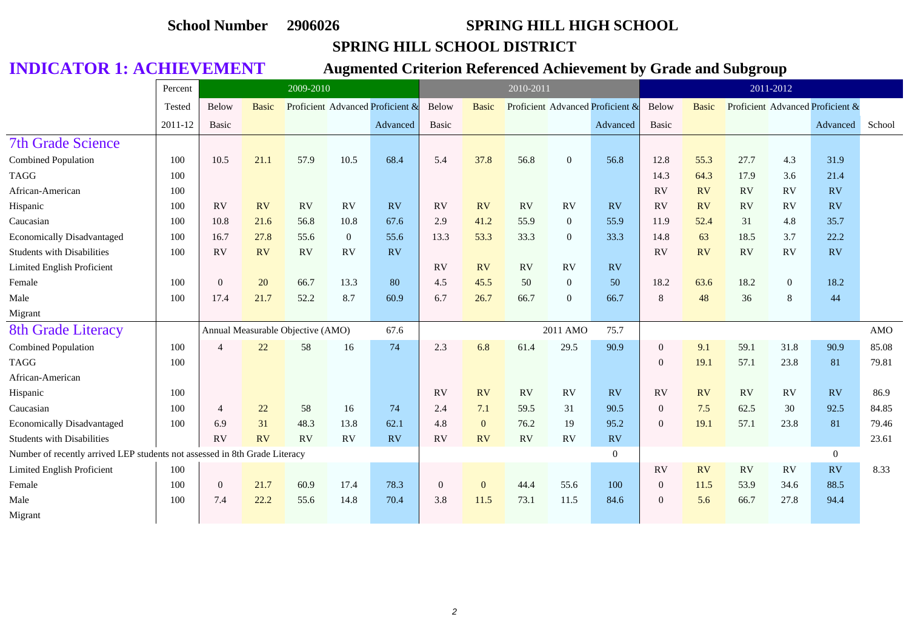### **SPRING HILL SCHOOL DISTRICT**

|                                                                            | Percent |                | 2009-2010    |                                   |              |                                  |              |                | 2010-2011 |                |                                  |              |              |      | 2011-2012      |                                  |            |
|----------------------------------------------------------------------------|---------|----------------|--------------|-----------------------------------|--------------|----------------------------------|--------------|----------------|-----------|----------------|----------------------------------|--------------|--------------|------|----------------|----------------------------------|------------|
|                                                                            | Tested  | Below          | <b>Basic</b> |                                   |              | Proficient Advanced Proficient & | Below        | <b>Basic</b>   |           |                | Proficient Advanced Proficient & | Below        | <b>Basic</b> |      |                | Proficient Advanced Proficient & |            |
|                                                                            | 2011-12 | Basic          |              |                                   |              | Advanced                         | Basic        |                |           |                | Advanced                         | Basic        |              |      |                | Advanced                         | School     |
| <b>7th Grade Science</b>                                                   |         |                |              |                                   |              |                                  |              |                |           |                |                                  |              |              |      |                |                                  |            |
| Combined Population                                                        | 100     | 10.5           | 21.1         | 57.9                              | 10.5         | 68.4                             | 5.4          | 37.8           | 56.8      | $\overline{0}$ | 56.8                             | 12.8         | 55.3         | 27.7 | 4.3            | 31.9                             |            |
| <b>TAGG</b>                                                                | 100     |                |              |                                   |              |                                  |              |                |           |                |                                  | 14.3         | 64.3         | 17.9 | 3.6            | 21.4                             |            |
| African-American                                                           | 100     |                |              |                                   |              |                                  |              |                |           |                |                                  | <b>RV</b>    | RV           | RV   | RV             | RV                               |            |
| Hispanic                                                                   | 100     | RV             | <b>RV</b>    | RV                                | RV           | <b>RV</b>                        | <b>RV</b>    | <b>RV</b>      | <b>RV</b> | RV             | RV                               | <b>RV</b>    | <b>RV</b>    | RV   | <b>RV</b>      | RV                               |            |
| Caucasian                                                                  | 100     | 10.8           | 21.6         | 56.8                              | 10.8         | 67.6                             | 2.9          | 41.2           | 55.9      | $\mathbf{0}$   | 55.9                             | 11.9         | 52.4         | 31   | 4.8            | 35.7                             |            |
| <b>Economically Disadvantaged</b>                                          | 100     | 16.7           | 27.8         | 55.6                              | $\mathbf{0}$ | 55.6                             | 13.3         | 53.3           | 33.3      | $\mathbf{0}$   | 33.3                             | 14.8         | 63           | 18.5 | 3.7            | 22.2                             |            |
| <b>Students with Disabilities</b>                                          | 100     | RV             | <b>RV</b>    | RV                                | RV           | RV                               |              |                |           |                |                                  | <b>RV</b>    | RV           | RV   | RV             | <b>RV</b>                        |            |
| Limited English Proficient                                                 |         |                |              |                                   |              |                                  | RV           | <b>RV</b>      | <b>RV</b> | RV             | RV                               |              |              |      |                |                                  |            |
| Female                                                                     | 100     | $\overline{0}$ | 20           | 66.7                              | 13.3         | 80                               | 4.5          | 45.5           | 50        | $\overline{0}$ | 50                               | 18.2         | 63.6         | 18.2 | $\overline{0}$ | 18.2                             |            |
| Male                                                                       | 100     | 17.4           | 21.7         | 52.2                              | 8.7          | 60.9                             | 6.7          | 26.7           | 66.7      | $\overline{0}$ | 66.7                             | $\,8\,$      | 48           | 36   | 8              | 44                               |            |
| Migrant                                                                    |         |                |              |                                   |              |                                  |              |                |           |                |                                  |              |              |      |                |                                  |            |
| <b>8th Grade Literacy</b>                                                  |         |                |              | Annual Measurable Objective (AMO) |              | 67.6                             |              |                |           | 2011 AMO       | 75.7                             |              |              |      |                |                                  | <b>AMO</b> |
| Combined Population                                                        | 100     | $\overline{4}$ | 22           | 58                                | 16           | 74                               | 2.3          | 6.8            | 61.4      | 29.5           | 90.9                             | $\mathbf{0}$ | 9.1          | 59.1 | 31.8           | 90.9                             | 85.08      |
| <b>TAGG</b>                                                                | 100     |                |              |                                   |              |                                  |              |                |           |                |                                  | $\mathbf{0}$ | 19.1         | 57.1 | 23.8           | 81                               | 79.81      |
| African-American                                                           |         |                |              |                                   |              |                                  |              |                |           |                |                                  |              |              |      |                |                                  |            |
| Hispanic                                                                   | 100     |                |              |                                   |              |                                  | RV           | RV             | RV        | RV             | RV                               | RV           | RV           | RV   | RV             | RV                               | 86.9       |
| Caucasian                                                                  | 100     | $\overline{4}$ | 22           | 58                                | 16           | 74                               | 2.4          | 7.1            | 59.5      | 31             | 90.5                             | $\mathbf{0}$ | 7.5          | 62.5 | 30             | 92.5                             | 84.85      |
| <b>Economically Disadvantaged</b>                                          | 100     | 6.9            | 31           | 48.3                              | 13.8         | 62.1                             | 4.8          | $\overline{0}$ | 76.2      | 19             | 95.2                             | $\mathbf{0}$ | 19.1         | 57.1 | 23.8           | 81                               | 79.46      |
| <b>Students with Disabilities</b>                                          |         | RV             | <b>RV</b>    | RV                                | RV           | RV                               | RV           | RV             | <b>RV</b> | <b>RV</b>      | RV                               |              |              |      |                |                                  | 23.61      |
| Number of recently arrived LEP students not assessed in 8th Grade Literacy |         |                |              |                                   |              |                                  |              |                |           |                | $\overline{0}$                   |              |              |      |                | $\overline{0}$                   |            |
| Limited English Proficient                                                 | 100     |                |              |                                   |              |                                  |              |                |           |                |                                  | <b>RV</b>    | RV           | RV   | RV             | RV                               | 8.33       |
| Female                                                                     | 100     | $\overline{0}$ | 21.7         | 60.9                              | 17.4         | 78.3                             | $\mathbf{0}$ | $\mathbf{0}$   | 44.4      | 55.6           | 100                              | $\mathbf{0}$ | 11.5         | 53.9 | 34.6           | 88.5                             |            |
| Male                                                                       | 100     | 7.4            | 22.2         | 55.6                              | 14.8         | 70.4                             | 3.8          | 11.5           | 73.1      | 11.5           | 84.6                             | $\mathbf{0}$ | 5.6          | 66.7 | 27.8           | 94.4                             |            |
| Migrant                                                                    |         |                |              |                                   |              |                                  |              |                |           |                |                                  |              |              |      |                |                                  |            |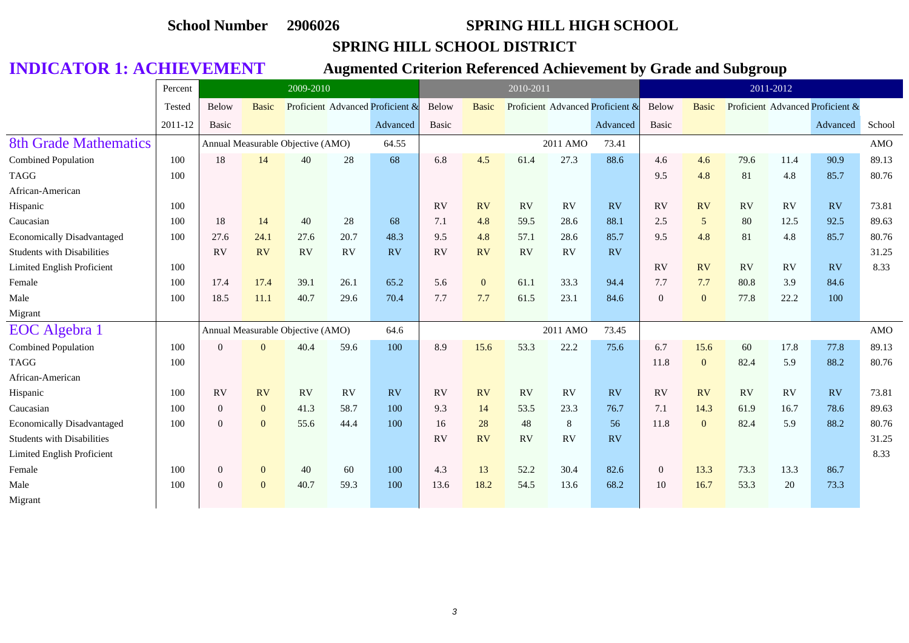### **SPRING HILL SCHOOL DISTRICT**

|                                   | Percent |                  | 2009-2010      |                                   |      |                                  |           |              | 2010-2011 |           |                                  |                  |                  |      | 2011-2012 |                                  |        |
|-----------------------------------|---------|------------------|----------------|-----------------------------------|------|----------------------------------|-----------|--------------|-----------|-----------|----------------------------------|------------------|------------------|------|-----------|----------------------------------|--------|
|                                   | Tested  | Below            | <b>Basic</b>   |                                   |      | Proficient Advanced Proficient & | Below     | <b>Basic</b> |           |           | Proficient Advanced Proficient & | Below            | <b>Basic</b>     |      |           | Proficient Advanced Proficient & |        |
|                                   | 2011-12 | Basic            |                |                                   |      | Advanced                         | Basic     |              |           |           | Advanced                         | <b>Basic</b>     |                  |      |           | Advanced                         | School |
| <b>8th Grade Mathematics</b>      |         |                  |                | Annual Measurable Objective (AMO) |      | 64.55                            |           |              |           | 2011 AMO  | 73.41                            |                  |                  |      |           |                                  | AMO    |
| Combined Population               | 100     | 18               | 14             | 40                                | 28   | 68                               | 6.8       | 4.5          | 61.4      | 27.3      | 88.6                             | 4.6              | 4.6              | 79.6 | 11.4      | 90.9                             | 89.13  |
| <b>TAGG</b>                       | 100     |                  |                |                                   |      |                                  |           |              |           |           |                                  | 9.5              | 4.8              | 81   | 4.8       | 85.7                             | 80.76  |
| African-American                  |         |                  |                |                                   |      |                                  |           |              |           |           |                                  |                  |                  |      |           |                                  |        |
| Hispanic                          | 100     |                  |                |                                   |      |                                  | RV        | <b>RV</b>    | <b>RV</b> | RV        | <b>RV</b>                        | <b>RV</b>        | RV               | RV   | <b>RV</b> | RV                               | 73.81  |
| Caucasian                         | 100     | 18               | 14             | 40                                | 28   | 68                               | 7.1       | 4.8          | 59.5      | 28.6      | 88.1                             | 2.5              | 5                | 80   | 12.5      | 92.5                             | 89.63  |
| <b>Economically Disadvantaged</b> | 100     | 27.6             | 24.1           | 27.6                              | 20.7 | 48.3                             | 9.5       | 4.8          | 57.1      | 28.6      | 85.7                             | 9.5              | 4.8              | 81   | 4.8       | 85.7                             | 80.76  |
| <b>Students with Disabilities</b> |         | <b>RV</b>        | RV             | <b>RV</b>                         | RV   | <b>RV</b>                        | <b>RV</b> | RV           | <b>RV</b> | <b>RV</b> | <b>RV</b>                        |                  |                  |      |           |                                  | 31.25  |
| <b>Limited English Proficient</b> | 100     |                  |                |                                   |      |                                  |           |              |           |           |                                  | <b>RV</b>        | RV               | RV   | RV        | RV                               | 8.33   |
| Female                            | 100     | 17.4             | 17.4           | 39.1                              | 26.1 | 65.2                             | 5.6       | $\mathbf{0}$ | 61.1      | 33.3      | 94.4                             | 7.7              | 7.7              | 80.8 | 3.9       | 84.6                             |        |
| Male                              | 100     | 18.5             | 11.1           | 40.7                              | 29.6 | 70.4                             | 7.7       | 7.7          | 61.5      | 23.1      | 84.6                             | $\overline{0}$   | $\mathbf{0}$     | 77.8 | 22.2      | 100                              |        |
| Migrant                           |         |                  |                |                                   |      |                                  |           |              |           |           |                                  |                  |                  |      |           |                                  |        |
| <b>EOC</b> Algebra 1              |         |                  |                | Annual Measurable Objective (AMO) |      | 64.6                             |           |              |           | 2011 AMO  | 73.45                            |                  |                  |      |           |                                  | AMO    |
| Combined Population               | 100     | $\Omega$         | $\overline{0}$ | 40.4                              | 59.6 | 100                              | 8.9       | 15.6         | 53.3      | 22.2      | 75.6                             | 6.7              | 15.6             | 60   | 17.8      | 77.8                             | 89.13  |
| <b>TAGG</b>                       | 100     |                  |                |                                   |      |                                  |           |              |           |           |                                  | 11.8             | $\boldsymbol{0}$ | 82.4 | 5.9       | 88.2                             | 80.76  |
| African-American                  |         |                  |                |                                   |      |                                  |           |              |           |           |                                  |                  |                  |      |           |                                  |        |
| Hispanic                          | 100     | RV               | RV             | RV                                | RV   | RV                               | <b>RV</b> | RV           | RV        | RV        | RV                               | RV               | RV               | RV   | RV        | RV                               | 73.81  |
| Caucasian                         | 100     | $\Omega$         | $\overline{0}$ | 41.3                              | 58.7 | 100                              | 9.3       | 14           | 53.5      | 23.3      | 76.7                             | 7.1              | 14.3             | 61.9 | 16.7      | 78.6                             | 89.63  |
| <b>Economically Disadvantaged</b> | 100     | $\Omega$         | $\overline{0}$ | 55.6                              | 44.4 | 100                              | 16        | 28           | 48        | 8         | 56                               | 11.8             | $\mathbf{0}$     | 82.4 | 5.9       | 88.2                             | 80.76  |
| <b>Students with Disabilities</b> |         |                  |                |                                   |      |                                  | <b>RV</b> | RV           | <b>RV</b> | <b>RV</b> | <b>RV</b>                        |                  |                  |      |           |                                  | 31.25  |
| Limited English Proficient        |         |                  |                |                                   |      |                                  |           |              |           |           |                                  |                  |                  |      |           |                                  | 8.33   |
| Female                            | 100     | $\boldsymbol{0}$ | $\mathbf{0}$   | 40                                | 60   | 100                              | 4.3       | 13           | 52.2      | 30.4      | 82.6                             | $\boldsymbol{0}$ | 13.3             | 73.3 | 13.3      | 86.7                             |        |
| Male                              | 100     | $\Omega$         | $\overline{0}$ | 40.7                              | 59.3 | 100                              | 13.6      | 18.2         | 54.5      | 13.6      | 68.2                             | 10               | 16.7             | 53.3 | 20        | 73.3                             |        |
| Migrant                           |         |                  |                |                                   |      |                                  |           |              |           |           |                                  |                  |                  |      |           |                                  |        |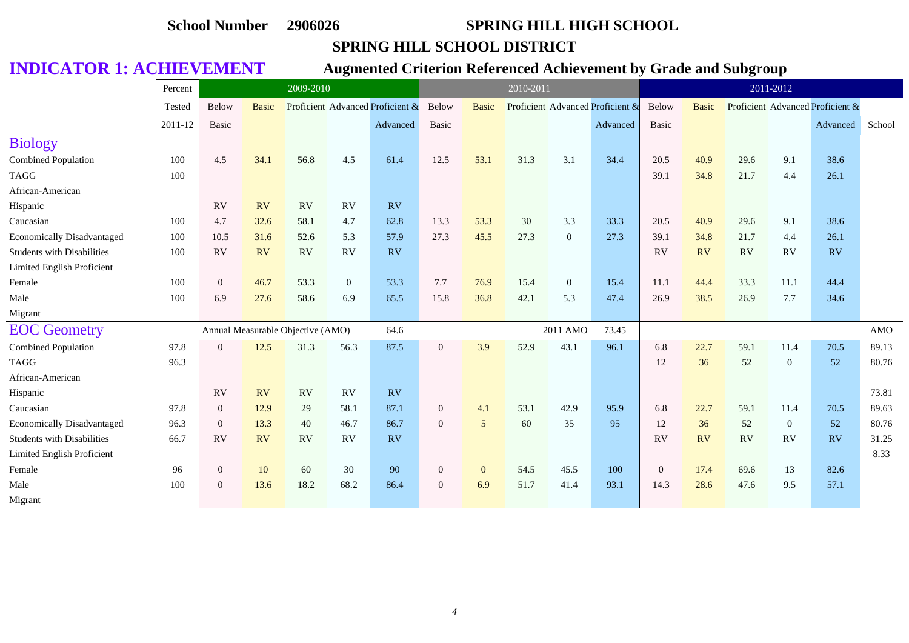### **SPRING HILL SCHOOL DISTRICT**

|                                   | Percent |                | 2009-2010    |                                   |                  |                                  |                |              | 2010-2011 |                |                                  |                  |              |           | 2011-2012    |                                  |        |
|-----------------------------------|---------|----------------|--------------|-----------------------------------|------------------|----------------------------------|----------------|--------------|-----------|----------------|----------------------------------|------------------|--------------|-----------|--------------|----------------------------------|--------|
|                                   | Tested  | Below          | <b>Basic</b> |                                   |                  | Proficient Advanced Proficient & | Below          | <b>Basic</b> |           |                | Proficient Advanced Proficient & | Below            | <b>Basic</b> |           |              | Proficient Advanced Proficient & |        |
|                                   | 2011-12 | Basic          |              |                                   |                  | Advanced                         | Basic          |              |           |                | Advanced                         | Basic            |              |           |              | Advanced                         | School |
| <b>Biology</b>                    |         |                |              |                                   |                  |                                  |                |              |           |                |                                  |                  |              |           |              |                                  |        |
| Combined Population               | 100     | 4.5            | 34.1         | 56.8                              | 4.5              | 61.4                             | 12.5           | 53.1         | 31.3      | 3.1            | 34.4                             | 20.5             | 40.9         | 29.6      | 9.1          | 38.6                             |        |
| <b>TAGG</b>                       | 100     |                |              |                                   |                  |                                  |                |              |           |                |                                  | 39.1             | 34.8         | 21.7      | 4.4          | 26.1                             |        |
| African-American                  |         |                |              |                                   |                  |                                  |                |              |           |                |                                  |                  |              |           |              |                                  |        |
| Hispanic                          |         | <b>RV</b>      | <b>RV</b>    | RV                                | <b>RV</b>        | RV                               |                |              |           |                |                                  |                  |              |           |              |                                  |        |
| Caucasian                         | 100     | 4.7            | 32.6         | 58.1                              | 4.7              | 62.8                             | 13.3           | 53.3         | 30        | 3.3            | 33.3                             | 20.5             | 40.9         | 29.6      | 9.1          | 38.6                             |        |
| <b>Economically Disadvantaged</b> | 100     | 10.5           | 31.6         | 52.6                              | 5.3              | 57.9                             | 27.3           | 45.5         | 27.3      | $\overline{0}$ | 27.3                             | 39.1             | 34.8         | 21.7      | 4.4          | 26.1                             |        |
| <b>Students with Disabilities</b> | 100     | RV             | <b>RV</b>    | RV                                | <b>RV</b>        | RV                               |                |              |           |                |                                  | RV               | RV           | <b>RV</b> | <b>RV</b>    | RV                               |        |
| Limited English Proficient        |         |                |              |                                   |                  |                                  |                |              |           |                |                                  |                  |              |           |              |                                  |        |
| Female                            | 100     | $\overline{0}$ | 46.7         | 53.3                              | $\boldsymbol{0}$ | 53.3                             | 7.7            | 76.9         | 15.4      | $\overline{0}$ | 15.4                             | 11.1             | 44.4         | 33.3      | 11.1         | 44.4                             |        |
| Male                              | 100     | 6.9            | 27.6         | 58.6                              | 6.9              | 65.5                             | 15.8           | 36.8         | 42.1      | 5.3            | 47.4                             | 26.9             | 38.5         | 26.9      | 7.7          | 34.6                             |        |
| Migrant                           |         |                |              |                                   |                  |                                  |                |              |           |                |                                  |                  |              |           |              |                                  |        |
| <b>EOC</b> Geometry               |         |                |              | Annual Measurable Objective (AMO) |                  | 64.6                             |                |              |           | 2011 AMO       | 73.45                            |                  |              |           |              |                                  | AMO    |
| Combined Population               | 97.8    | $\Omega$       | 12.5         | 31.3                              | 56.3             | 87.5                             | $\overline{0}$ | 3.9          | 52.9      | 43.1           | 96.1                             | 6.8              | 22.7         | 59.1      | 11.4         | 70.5                             | 89.13  |
| <b>TAGG</b>                       | 96.3    |                |              |                                   |                  |                                  |                |              |           |                |                                  | 12               | 36           | 52        | $\mathbf{0}$ | 52                               | 80.76  |
| African-American                  |         |                |              |                                   |                  |                                  |                |              |           |                |                                  |                  |              |           |              |                                  |        |
| Hispanic                          |         | <b>RV</b>      | <b>RV</b>    | <b>RV</b>                         | RV               | RV                               |                |              |           |                |                                  |                  |              |           |              |                                  | 73.81  |
| Caucasian                         | 97.8    | $\mathbf{0}$   | 12.9         | 29                                | 58.1             | 87.1                             | $\overline{0}$ | 4.1          | 53.1      | 42.9           | 95.9                             | 6.8              | 22.7         | 59.1      | 11.4         | 70.5                             | 89.63  |
| <b>Economically Disadvantaged</b> | 96.3    | $\overline{0}$ | 13.3         | 40                                | 46.7             | 86.7                             | $\overline{0}$ | 5            | 60        | 35             | 95                               | 12               | 36           | 52        | $\mathbf{0}$ | 52                               | 80.76  |
| <b>Students with Disabilities</b> | 66.7    | RV             | <b>RV</b>    | <b>RV</b>                         | <b>RV</b>        | RV                               |                |              |           |                |                                  | <b>RV</b>        | RV           | <b>RV</b> | RV           | RV                               | 31.25  |
| Limited English Proficient        |         |                |              |                                   |                  |                                  |                |              |           |                |                                  |                  |              |           |              |                                  | 8.33   |
| Female                            | 96      | $\mathbf{0}$   | 10           | 60                                | 30               | 90                               | $\overline{0}$ | $\mathbf{0}$ | 54.5      | 45.5           | 100                              | $\boldsymbol{0}$ | 17.4         | 69.6      | 13           | 82.6                             |        |
| Male                              | 100     | $\Omega$       | 13.6         | 18.2                              | 68.2             | 86.4                             | $\overline{0}$ | 6.9          | 51.7      | 41.4           | 93.1                             | 14.3             | 28.6         | 47.6      | 9.5          | 57.1                             |        |
| Migrant                           |         |                |              |                                   |                  |                                  |                |              |           |                |                                  |                  |              |           |              |                                  |        |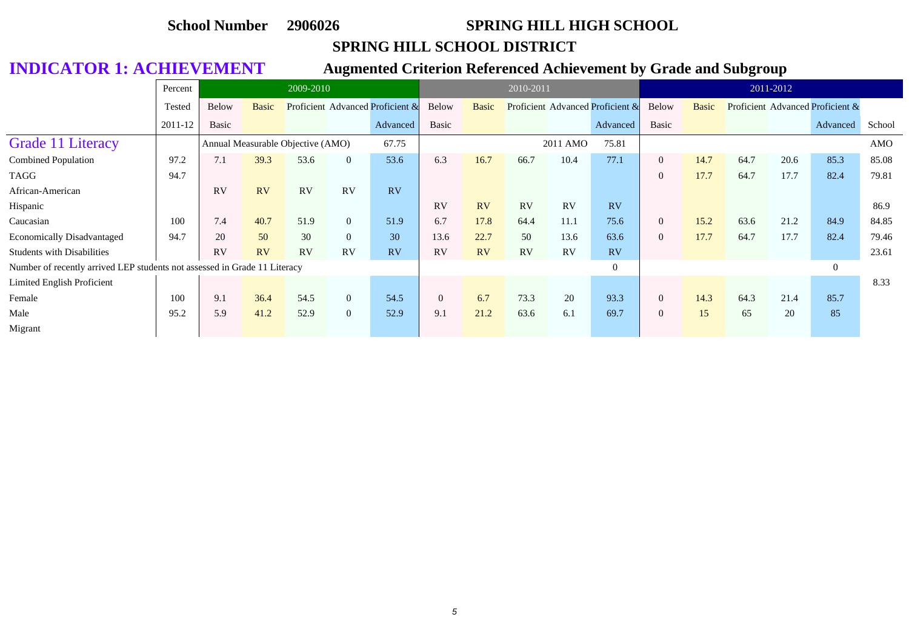### **SPRING HILL SCHOOL DISTRICT**

|                                                                           | Percent |              |           | 2009-2010                         |                |                                  |                |       | 2010-2011 |          |                                  |                |       |      | 2011-2012 |                                  |        |
|---------------------------------------------------------------------------|---------|--------------|-----------|-----------------------------------|----------------|----------------------------------|----------------|-------|-----------|----------|----------------------------------|----------------|-------|------|-----------|----------------------------------|--------|
|                                                                           | Tested  | <b>Below</b> | Basic     |                                   |                | Proficient Advanced Proficient & | Below          | Basic |           |          | Proficient Advanced Proficient & | Below          | Basic |      |           | Proficient Advanced Proficient & |        |
|                                                                           | 2011-12 | Basic        |           |                                   |                | Advanced                         | Basic          |       |           |          | Advanced                         | Basic          |       |      |           | Advanced                         | School |
| <b>Grade 11 Literacy</b>                                                  |         |              |           | Annual Measurable Objective (AMO) |                | 67.75                            |                |       |           | 2011 AMO | 75.81                            |                |       |      |           |                                  | AMO    |
| <b>Combined Population</b>                                                | 97.2    | 7.1          | 39.3      | 53.6                              | $\overline{0}$ | 53.6                             | 6.3            | 16.7  | 66.7      | 10.4     | 77.1                             | $\overline{0}$ | 14.7  | 64.7 | 20.6      | 85.3                             | 85.08  |
| TAGG                                                                      | 94.7    |              |           |                                   |                |                                  |                |       |           |          |                                  | $\overline{0}$ | 17.7  | 64.7 | 17.7      | 82.4                             | 79.81  |
| African-American                                                          |         | RV           | <b>RV</b> | RV                                | RV             | RV                               |                |       |           |          |                                  |                |       |      |           |                                  |        |
| Hispanic                                                                  |         |              |           |                                   |                |                                  | RV             | RV    | <b>RV</b> | RV       | RV                               |                |       |      |           |                                  | 86.9   |
| Caucasian                                                                 | 100     | 7.4          | 40.7      | 51.9                              | $\overline{0}$ | 51.9                             | 6.7            | 17.8  | 64.4      | 11.1     | 75.6                             | $\overline{0}$ | 15.2  | 63.6 | 21.2      | 84.9                             | 84.85  |
| <b>Economically Disadvantaged</b>                                         | 94.7    | 20           | 50        | 30                                | $\overline{0}$ | 30                               | 13.6           | 22.7  | 50        | 13.6     | 63.6                             | $\overline{0}$ | 17.7  | 64.7 | 17.7      | 82.4                             | 79.46  |
| <b>Students with Disabilities</b>                                         |         | RV           | RV        | RV                                | RV             | RV                               | RV             | RV    | RV        | RV       | <b>RV</b>                        |                |       |      |           |                                  | 23.61  |
| Number of recently arrived LEP students not assessed in Grade 11 Literacy |         |              |           |                                   |                |                                  |                |       |           |          | $\overline{0}$                   |                |       |      |           | $\overline{0}$                   |        |
| Limited English Proficient                                                |         |              |           |                                   |                |                                  |                |       |           |          |                                  |                |       |      |           |                                  | 8.33   |
| Female                                                                    | 100     | 9.1          | 36.4      | 54.5                              | $\overline{0}$ | 54.5                             | $\overline{0}$ | 6.7   | 73.3      | 20       | 93.3                             | $\theta$       | 14.3  | 64.3 | 21.4      | 85.7                             |        |
| Male                                                                      | 95.2    | 5.9          | 41.2      | 52.9                              | $\overline{0}$ | 52.9                             | 9.1            | 21.2  | 63.6      | 6.1      | 69.7                             | $\overline{0}$ | 15    | 65   | 20        | 85                               |        |
| Migrant                                                                   |         |              |           |                                   |                |                                  |                |       |           |          |                                  |                |       |      |           |                                  |        |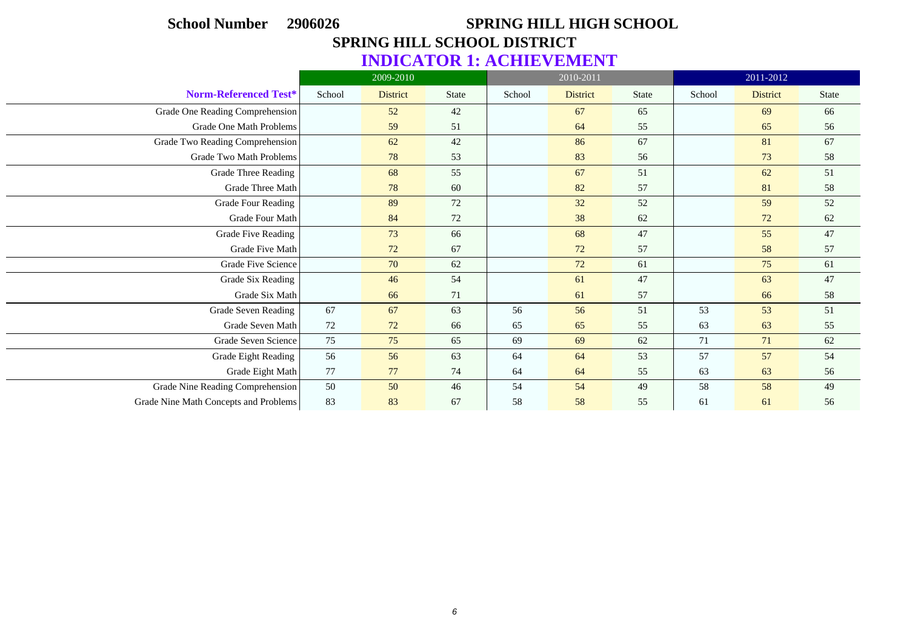| <b>School Number</b>                  | 2906026 |                                    |              |        | <b>SPRING HILL HIGH SCHOOL</b> |              |        |                 |              |
|---------------------------------------|---------|------------------------------------|--------------|--------|--------------------------------|--------------|--------|-----------------|--------------|
|                                       |         | <b>SPRING HILL SCHOOL DISTRICT</b> |              |        |                                |              |        |                 |              |
|                                       |         | <b>INDICATOR 1: ACHIEVEMENT</b>    |              |        |                                |              |        |                 |              |
|                                       |         | 2009-2010                          |              |        | 2010-2011                      |              |        | 2011-2012       |              |
| Norm-Referenced Test*                 | School  | <b>District</b>                    | <b>State</b> | School | <b>District</b>                | <b>State</b> | School | <b>District</b> | <b>State</b> |
| Grade One Reading Comprehension       |         | 52                                 | 42           |        | 67                             | 65           |        | 69              | 66           |
| Grade One Math Problems               |         | 59                                 | 51           |        | 64                             | 55           |        | 65              | 56           |
| Grade Two Reading Comprehension       |         | 62                                 | 42           |        | 86                             | 67           |        | 81              | 67           |
| <b>Grade Two Math Problems</b>        |         | 78                                 | 53           |        | 83                             | 56           |        | 73              | 58           |
| <b>Grade Three Reading</b>            |         | 68                                 | 55           |        | 67                             | 51           |        | 62              | 51           |
| Grade Three Math                      |         | 78                                 | 60           |        | 82                             | 57           |        | 81              | 58           |
| <b>Grade Four Reading</b>             |         | 89                                 | 72           |        | 32                             | 52           |        | 59              | 52           |
| Grade Four Math                       |         | 84                                 | 72           |        | 38                             | 62           |        | 72              | 62           |
| <b>Grade Five Reading</b>             |         | 73                                 | 66           |        | 68                             | 47           |        | 55              | 47           |
| <b>Grade Five Math</b>                |         | 72                                 | 67           |        | 72                             | 57           |        | 58              | 57           |
| Grade Five Science                    |         | 70                                 | 62           |        | 72                             | 61           |        | 75              | 61           |
| Grade Six Reading                     |         | 46                                 | 54           |        | 61                             | 47           |        | 63              | 47           |
| Grade Six Math                        |         | 66                                 | 71           |        | 61                             | 57           |        | 66              | 58           |
| <b>Grade Seven Reading</b>            | 67      | 67                                 | 63           | 56     | 56                             | 51           | 53     | 53              | 51           |
| Grade Seven Math                      | 72      | 72                                 | 66           | 65     | 65                             | 55           | 63     | 63              | 55           |
| Grade Seven Science                   | 75      | 75                                 | 65           | 69     | 69                             | 62           | 71     | 71              | 62           |
| Grade Eight Reading                   | 56      | 56                                 | 63           | 64     | 64                             | 53           | 57     | 57              | 54           |
| Grade Eight Math                      | 77      | 77                                 | 74           | 64     | 64                             | 55           | 63     | 63              | 56           |
| Grade Nine Reading Comprehension      | 50      | 50                                 | 46           | 54     | 54                             | 49           | 58     | 58              | 49           |
| Grade Nine Math Concepts and Problems | 83      | 83                                 | 67           | 58     | 58                             | 55           | 61     | 61              | 56           |

 $\overline{\phantom{0}}$ 

 $\overline{\phantom{a}}$ 

 $\overline{\phantom{a}}$ 

 $\overline{\phantom{0}}$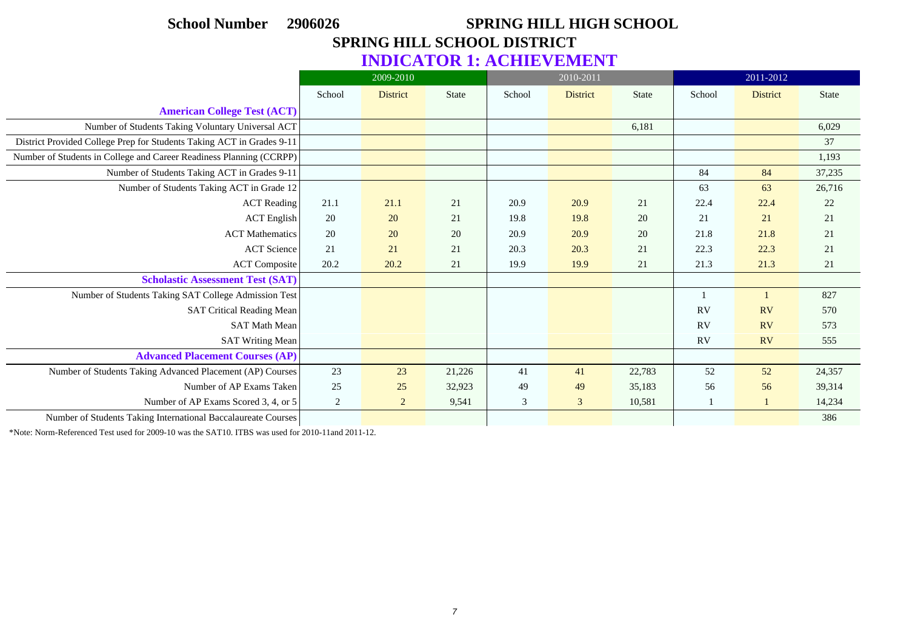# **School Number 2906026 SPRING HILL HIGH SCHOOL SPRING HILL SCHOOL DISTRICT**

## **INDICATOR 1: ACHIEVEMENT**

|                                                                       |        | 2009-2010       |              |        | 2010-2011       |              |           | 2011-2012       |              |
|-----------------------------------------------------------------------|--------|-----------------|--------------|--------|-----------------|--------------|-----------|-----------------|--------------|
|                                                                       | School | <b>District</b> | <b>State</b> | School | <b>District</b> | <b>State</b> | School    | <b>District</b> | <b>State</b> |
| <b>American College Test (ACT)</b>                                    |        |                 |              |        |                 |              |           |                 |              |
| Number of Students Taking Voluntary Universal ACT                     |        |                 |              |        |                 | 6,181        |           |                 | 6,029        |
| District Provided College Prep for Students Taking ACT in Grades 9-11 |        |                 |              |        |                 |              |           |                 | 37           |
| Number of Students in College and Career Readiness Planning (CCRPP)   |        |                 |              |        |                 |              |           |                 | 1,193        |
| Number of Students Taking ACT in Grades 9-11                          |        |                 |              |        |                 |              | 84        | 84              | 37,235       |
| Number of Students Taking ACT in Grade 12                             |        |                 |              |        |                 |              | 63        | 63              | 26,716       |
| <b>ACT</b> Reading                                                    | 21.1   | 21.1            | 21           | 20.9   | 20.9            | 21           | 22.4      | 22.4            | 22           |
| <b>ACT</b> English                                                    | 20     | 20              | 21           | 19.8   | 19.8            | 20           | 21        | 21              | 21           |
| <b>ACT</b> Mathematics                                                | 20     | 20              | 20           | 20.9   | 20.9            | 20           | 21.8      | 21.8            | 21           |
| <b>ACT</b> Science                                                    | 21     | 21              | 21           | 20.3   | 20.3            | 21           | 22.3      | 22.3            | 21           |
| ACT Composite                                                         | 20.2   | 20.2            | 21           | 19.9   | 19.9            | 21           | 21.3      | 21.3            | 21           |
| <b>Scholastic Assessment Test (SAT)</b>                               |        |                 |              |        |                 |              |           |                 |              |
| Number of Students Taking SAT College Admission Test                  |        |                 |              |        |                 |              |           |                 | 827          |
| <b>SAT Critical Reading Mean</b>                                      |        |                 |              |        |                 |              | <b>RV</b> | <b>RV</b>       | 570          |
| <b>SAT Math Mean</b>                                                  |        |                 |              |        |                 |              | RV        | <b>RV</b>       | 573          |
| <b>SAT Writing Mean</b>                                               |        |                 |              |        |                 |              | <b>RV</b> | <b>RV</b>       | 555          |
| <b>Advanced Placement Courses (AP)</b>                                |        |                 |              |        |                 |              |           |                 |              |
| Number of Students Taking Advanced Placement (AP) Courses             | 23     | 23              | 21,226       | 41     | 41              | 22,783       | 52        | 52              | 24,357       |
| Number of AP Exams Taken                                              | 25     | 25              | 32,923       | 49     | 49              | 35,183       | 56        | 56              | 39,314       |
| Number of AP Exams Scored 3, 4, or 5                                  | 2      | $\overline{2}$  | 9,541        | 3      | 3               | 10,581       | -1        | $\mathbf{1}$    | 14,234       |
| Number of Students Taking International Baccalaureate Courses         |        |                 |              |        |                 |              |           |                 | 386          |

\*Note: Norm-Referenced Test used for 2009-10 was the SAT10. ITBS was used for 2010-11and 2011-12.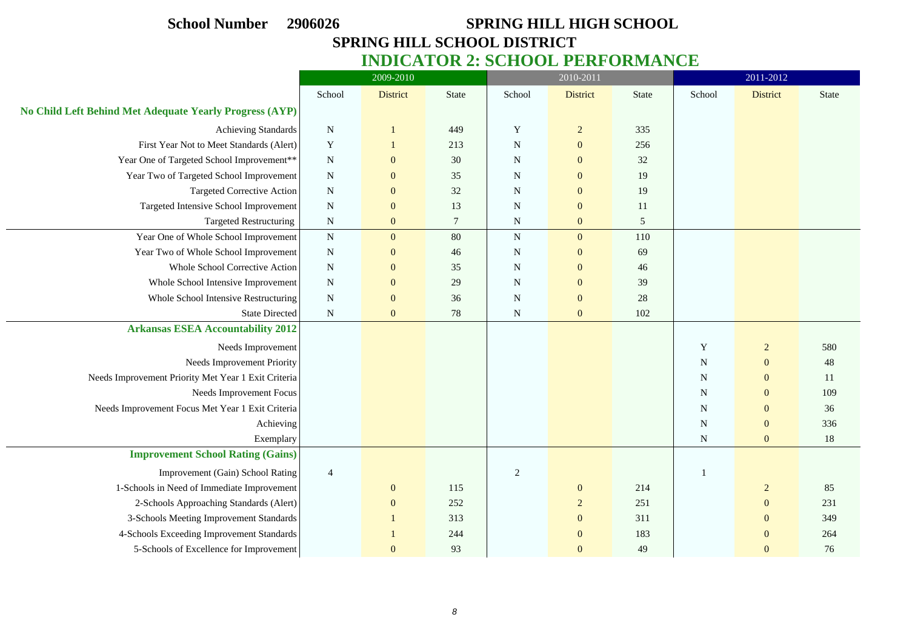$\frac{1}{2}$ 

 $\overline{\phantom{a}}$ 

 $\overline{\phantom{a}}$ 

## **School Number 2906026 SPRING HILL HIGH SCHOOL SPRING HILL SCHOOL DISTRICT**

**INDICATOR 2: SCHOOL PERFORMANCE**

|                                                         |                | 2009-2010       |              |             | 2010-2011       |              |             | 2011-2012       |              |
|---------------------------------------------------------|----------------|-----------------|--------------|-------------|-----------------|--------------|-------------|-----------------|--------------|
|                                                         | School         | <b>District</b> | <b>State</b> | School      | <b>District</b> | <b>State</b> | School      | <b>District</b> | <b>State</b> |
| No Child Left Behind Met Adequate Yearly Progress (AYP) |                |                 |              |             |                 |              |             |                 |              |
| <b>Achieving Standards</b>                              | $\mathbf N$    | -1              | 449          | Y           | $\overline{c}$  | 335          |             |                 |              |
| First Year Not to Meet Standards (Alert)                | $\mathbf Y$    | $\mathbf{1}$    | 213          | $\mathbf N$ | $\mathbf{0}$    | 256          |             |                 |              |
| Year One of Targeted School Improvement**               | $\mathbf N$    | $\mathbf{0}$    | 30           | N           | $\mathbf{0}$    | 32           |             |                 |              |
| Year Two of Targeted School Improvement                 | $\mathbf N$    | $\mathbf{0}$    | 35           | $\mathbf N$ | $\mathbf{0}$    | 19           |             |                 |              |
| <b>Targeted Corrective Action</b>                       | $\mathbf N$    | $\mathbf{0}$    | 32           | $\mathbf N$ | $\mathbf{0}$    | 19           |             |                 |              |
| Targeted Intensive School Improvement                   | $\mathbf N$    | $\mathbf{0}$    | 13           | N           | $\mathbf{0}$    | 11           |             |                 |              |
| <b>Targeted Restructuring</b>                           | ${\bf N}$      | $\mathbf{0}$    | 7            | $\mathbf N$ | $\mathbf{0}$    | 5            |             |                 |              |
| Year One of Whole School Improvement                    | ${\bf N}$      | $\mathbf{0}$    | 80           | ${\bf N}$   | $\overline{0}$  | 110          |             |                 |              |
| Year Two of Whole School Improvement                    | $\mathbf N$    | $\mathbf{0}$    | 46           | N           | $\mathbf{0}$    | 69           |             |                 |              |
| Whole School Corrective Action                          | $\mathbf N$    | $\mathbf{0}$    | 35           | $\mathbf N$ | $\mathbf{0}$    | 46           |             |                 |              |
| Whole School Intensive Improvement                      | $\mathbf N$    | $\mathbf{0}$    | 29           | $\mathbf N$ | $\mathbf{0}$    | 39           |             |                 |              |
| Whole School Intensive Restructuring                    | $\mathbf N$    | $\mathbf{0}$    | 36           | N           | $\mathbf{0}$    | 28           |             |                 |              |
| <b>State Directed</b>                                   | ${\bf N}$      | $\mathbf{0}$    | 78           | $\mathbf N$ | $\mathbf{0}$    | 102          |             |                 |              |
| <b>Arkansas ESEA Accountability 2012</b>                |                |                 |              |             |                 |              |             |                 |              |
| Needs Improvement                                       |                |                 |              |             |                 |              | Y           | $\overline{2}$  | 580          |
| Needs Improvement Priority                              |                |                 |              |             |                 |              | ${\bf N}$   | $\mathbf{0}$    | 48           |
| Needs Improvement Priority Met Year 1 Exit Criteria     |                |                 |              |             |                 |              | N           | $\overline{0}$  | 11           |
| Needs Improvement Focus                                 |                |                 |              |             |                 |              | ${\bf N}$   | $\mathbf{0}$    | 109          |
| Needs Improvement Focus Met Year 1 Exit Criteria        |                |                 |              |             |                 |              | $\mathbf N$ | $\mathbf{0}$    | 36           |
| Achieving                                               |                |                 |              |             |                 |              | $\mathbf N$ | $\mathbf{0}$    | 336          |
| Exemplary                                               |                |                 |              |             |                 |              | $\mathbf N$ | $\mathbf{0}$    | 18           |
| <b>Improvement School Rating (Gains)</b>                |                |                 |              |             |                 |              |             |                 |              |
| Improvement (Gain) School Rating                        | $\overline{4}$ |                 |              | 2           |                 |              |             |                 |              |
| 1-Schools in Need of Immediate Improvement              |                | $\mathbf{0}$    | 115          |             | $\mathbf{0}$    | 214          |             | $\overline{c}$  | 85           |
| 2-Schools Approaching Standards (Alert)                 |                | $\overline{0}$  | 252          |             | $\overline{2}$  | 251          |             | $\overline{0}$  | 231          |
| 3-Schools Meeting Improvement Standards                 |                |                 | 313          |             | $\mathbf{0}$    | 311          |             | $\mathbf{0}$    | 349          |
| 4-Schools Exceeding Improvement Standards               |                |                 | 244          |             | $\mathbf{0}$    | 183          |             | $\theta$        | 264          |
| 5-Schools of Excellence for Improvement                 |                | $\overline{0}$  | 93           |             | $\overline{0}$  | 49           |             | $\mathbf{0}$    | 76           |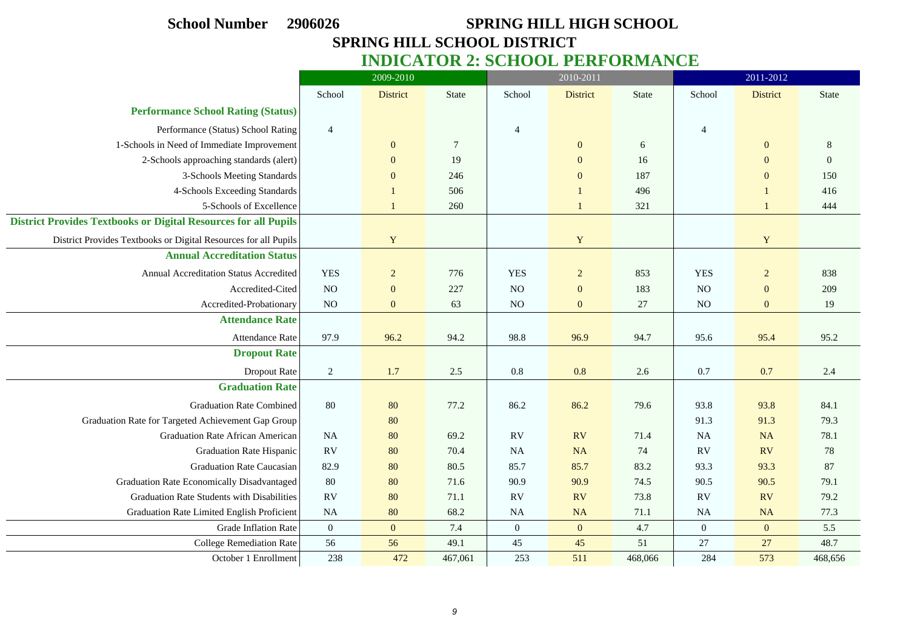# **School Number 2906026 SPRING HILL HIGH SCHOOL SPRING HILL SCHOOL DISTRICT INDICATOR 2: SCHOOL PERFORMANCE** 2009-2010 2010-2011 2011-2012 School District State School District State School District State **Performance School Rating (Status)** Performance (Status) School Rating 4 4 4

| <b>Performance School Rating (Status)</b>                              |                |                |                |                  |                  |         |                |                |          |
|------------------------------------------------------------------------|----------------|----------------|----------------|------------------|------------------|---------|----------------|----------------|----------|
| Performance (Status) School Rating                                     | $\overline{4}$ |                |                | $\overline{4}$   |                  |         | $\overline{4}$ |                |          |
| 1-Schools in Need of Immediate Improvement                             |                | $\mathbf{0}$   | $\overline{7}$ |                  | $\mathbf{0}$     | 6       |                | $\mathbf{0}$   | 8        |
| 2-Schools approaching standards (alert)                                |                | $\overline{0}$ | 19             |                  | $\mathbf{0}$     | 16      |                | $\mathbf{0}$   | $\theta$ |
| 3-Schools Meeting Standards                                            |                | $\mathbf{0}$   | 246            |                  | $\mathbf{0}$     | 187     |                | $\overline{0}$ | 150      |
| 4-Schools Exceeding Standards                                          |                |                | 506            |                  |                  | 496     |                | 1              | 416      |
| 5-Schools of Excellence                                                |                |                | 260            |                  |                  | 321     |                | $\mathbf{1}$   | 444      |
| <b>District Provides Textbooks or Digital Resources for all Pupils</b> |                |                |                |                  |                  |         |                |                |          |
| District Provides Textbooks or Digital Resources for all Pupils        |                | Y              |                |                  | Y                |         |                | $\mathbf Y$    |          |
| <b>Annual Accreditation Status</b>                                     |                |                |                |                  |                  |         |                |                |          |
| Annual Accreditation Status Accredited                                 | <b>YES</b>     | $\overline{c}$ | 776            | <b>YES</b>       | $\overline{c}$   | 853     | <b>YES</b>     | $\sqrt{2}$     | 838      |
| Accredited-Cited                                                       | NO             | $\mathbf{0}$   | 227            | N <sub>O</sub>   | $\boldsymbol{0}$ | 183     | N <sub>O</sub> | $\mathbf{0}$   | 209      |
| Accredited-Probationary                                                | NO             | $\overline{0}$ | 63             | NO <sub>1</sub>  | $\mathbf{0}$     | 27      | NO             | $\mathbf{0}$   | 19       |
| <b>Attendance Rate</b>                                                 |                |                |                |                  |                  |         |                |                |          |
| <b>Attendance Rate</b>                                                 | 97.9           | 96.2           | 94.2           | 98.8             | 96.9             | 94.7    | 95.6           | 95.4           | 95.2     |
| <b>Dropout Rate</b>                                                    |                |                |                |                  |                  |         |                |                |          |
| <b>Dropout Rate</b>                                                    | $\overline{2}$ | 1.7            | 2.5            | 0.8              | 0.8              | 2.6     | 0.7            | 0.7            | 2.4      |
| <b>Graduation Rate</b>                                                 |                |                |                |                  |                  |         |                |                |          |
| <b>Graduation Rate Combined</b>                                        | 80             | 80             | 77.2           | 86.2             | 86.2             | 79.6    | 93.8           | 93.8           | 84.1     |
| Graduation Rate for Targeted Achievement Gap Group                     |                | 80             |                |                  |                  |         | 91.3           | 91.3           | 79.3     |
| <b>Graduation Rate African American</b>                                | <b>NA</b>      | 80             | 69.2           | RV               | <b>RV</b>        | 71.4    | <b>NA</b>      | <b>NA</b>      | 78.1     |
| <b>Graduation Rate Hispanic</b>                                        | <b>RV</b>      | 80             | 70.4           | <b>NA</b>        | <b>NA</b>        | 74      | RV             | <b>RV</b>      | 78       |
| <b>Graduation Rate Caucasian</b>                                       | 82.9           | 80             | 80.5           | 85.7             | 85.7             | 83.2    | 93.3           | 93.3           | 87       |
| Graduation Rate Economically Disadvantaged                             | 80             | 80             | 71.6           | 90.9             | 90.9             | 74.5    | 90.5           | 90.5           | 79.1     |
| Graduation Rate Students with Disabilities                             | RV             | 80             | 71.1           | <b>RV</b>        | <b>RV</b>        | 73.8    | RV             | <b>RV</b>      | 79.2     |
| Graduation Rate Limited English Proficient                             | <b>NA</b>      | 80             | 68.2           | <b>NA</b>        | <b>NA</b>        | 71.1    | <b>NA</b>      | <b>NA</b>      | 77.3     |
| Grade Inflation Rate                                                   | $\overline{0}$ | $\mathbf{0}$   | 7.4            | $\boldsymbol{0}$ | $\mathbf{0}$     | 4.7     | $\mathbf{0}$   | $\mathbf{0}$   | 5.5      |
| <b>College Remediation Rate</b>                                        | 56             | 56             | 49.1           | 45               | 45               | 51      | 27             | 27             | 48.7     |
| October 1 Enrollment                                                   | 238            | 472            | 467,061        | 253              | 511              | 468,066 | 284            | 573            | 468,656  |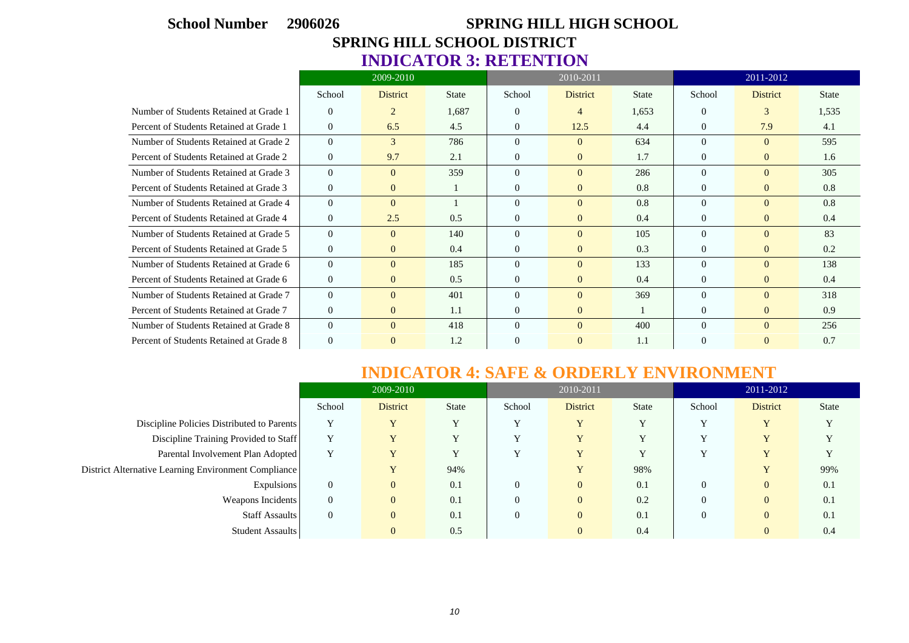# **School Number 2906026 SPRING HILL HIGH SCHOOL SPRING HILL SCHOOL DISTRICT INDICATOR 3: RETENTION**

|                                         |                  | 2009-2010       |              |                | 2010-2011       |              |                | 2011-2012       |              |
|-----------------------------------------|------------------|-----------------|--------------|----------------|-----------------|--------------|----------------|-----------------|--------------|
|                                         | School           | <b>District</b> | <b>State</b> | School         | <b>District</b> | <b>State</b> | School         | <b>District</b> | <b>State</b> |
| Number of Students Retained at Grade 1  | $\theta$         | 2               | 1,687        | $\Omega$       | 4               | 1,653        | $\theta$       | 3               | 1,535        |
| Percent of Students Retained at Grade 1 | $\overline{0}$   | 6.5             | 4.5          | $\overline{0}$ | 12.5            | 4.4          | $\Omega$       | 7.9             | 4.1          |
| Number of Students Retained at Grade 2  | $\overline{0}$   | 3               | 786          | $\Omega$       | $\Omega$        | 634          | $\Omega$       | $\theta$        | 595          |
| Percent of Students Retained at Grade 2 | $\overline{0}$   | 9.7             | 2.1          | $\Omega$       | $\overline{0}$  | 1.7          | $\Omega$       | $\overline{0}$  | 1.6          |
| Number of Students Retained at Grade 3  | $\overline{0}$   | $\Omega$        | 359          | $\Omega$       | $\Omega$        | 286          | $\Omega$       | $\theta$        | 305          |
| Percent of Students Retained at Grade 3 | $\theta$         | $\overline{0}$  |              | $\theta$       | $\overline{0}$  | 0.8          | $\overline{0}$ | $\overline{0}$  | 0.8          |
| Number of Students Retained at Grade 4  | $\overline{0}$   | $\Omega$        |              | $\Omega$       | $\Omega$        | 0.8          | $\Omega$       | $\Omega$        | 0.8          |
| Percent of Students Retained at Grade 4 | $\theta$         | 2.5             | 0.5          | $\Omega$       | $\overline{0}$  | 0.4          | $\Omega$       | $\overline{0}$  | 0.4          |
| Number of Students Retained at Grade 5  | $\mathbf{0}$     | $\Omega$        | 140          | $\Omega$       | $\Omega$        | 105          | $\Omega$       | $\Omega$        | 83           |
| Percent of Students Retained at Grade 5 | $\overline{0}$   | $\Omega$        | 0.4          | $\theta$       | $\overline{0}$  | 0.3          | $\Omega$       | $\overline{0}$  | 0.2          |
| Number of Students Retained at Grade 6  | $\mathbf{0}$     | $\Omega$        | 185          | $\Omega$       | $\overline{0}$  | 133          | $\Omega$       | $\Omega$        | 138          |
| Percent of Students Retained at Grade 6 | $\overline{0}$   | $\overline{0}$  | 0.5          | $\overline{0}$ | $\mathbf{0}$    | 0.4          | $\Omega$       | $\overline{0}$  | 0.4          |
| Number of Students Retained at Grade 7  | $\overline{0}$   | $\Omega$        | 401          | $\Omega$       | $\Omega$        | 369          | $\Omega$       | $\Omega$        | 318          |
| Percent of Students Retained at Grade 7 | $\boldsymbol{0}$ | $\overline{0}$  | 1.1          | $\theta$       | $\mathbf{0}$    |              | $\Omega$       | $\overline{0}$  | 0.9          |
| Number of Students Retained at Grade 8  | $\theta$         | $\theta$        | 418          | $\Omega$       | $\Omega$        | 400          | $\Omega$       | $\Omega$        | 256          |
| Percent of Students Retained at Grade 8 | $\mathbf{0}$     | $\theta$        | 1.2          | $\theta$       | $\mathbf{0}$    | 1.1          | $\Omega$       | $\mathbf{0}$    | 0.7          |

### **INDICATOR 4: SAFE & ORDERLY ENVIRONMENT**

|                                                      |                | 2009-2010       |              |          | 2010-2011               |              |              | 2011-2012               |              |
|------------------------------------------------------|----------------|-----------------|--------------|----------|-------------------------|--------------|--------------|-------------------------|--------------|
|                                                      | School         | <b>District</b> | <b>State</b> | School   | <b>District</b>         | State        | School       | <b>District</b>         | <b>State</b> |
| Discipline Policies Distributed to Parents           | $\mathbf v$    | Y               | v            | v        | $\overline{\mathbf{v}}$ | $\mathbf v$  | $\mathbf v$  | $\mathbf{v}$            |              |
| Discipline Training Provided to Staff                | $\mathbf{v}$   | Y               | $\mathbf v$  | v        | $\overline{\mathbf{v}}$ | $\mathbf{v}$ | $\mathbf{v}$ | $\overline{\mathbf{v}}$ |              |
| Parental Involvement Plan Adopted                    | Y              | Y               | Y            | v        | $\overline{\mathbf{v}}$ | Y            | $\mathbf{v}$ | v                       |              |
| District Alternative Learning Environment Compliance |                |                 | 94%          |          |                         | 98%          |              | $\overline{\mathbf{v}}$ | 99%          |
| Expulsions                                           | $\overline{0}$ | $\overline{0}$  | 0.1          | 0        | $\overline{0}$          | 0.1          |              | $\overline{0}$          | 0.1          |
| Weapons Incidents                                    | $\theta$       | $\overline{0}$  | 0.1          | $\theta$ | $\overline{0}$          | 0.2          |              | $\Omega$                | 0.1          |
| Staff Assaults                                       | $\overline{0}$ | $\overline{0}$  | 0.1          | $\theta$ | $\overline{0}$          | 0.1          |              | $\overline{0}$          | 0.1          |
| Student Assaults                                     |                | $\overline{0}$  | 0.5          |          | $\overline{0}$          | 0.4          |              | $\overline{0}$          | 0.4          |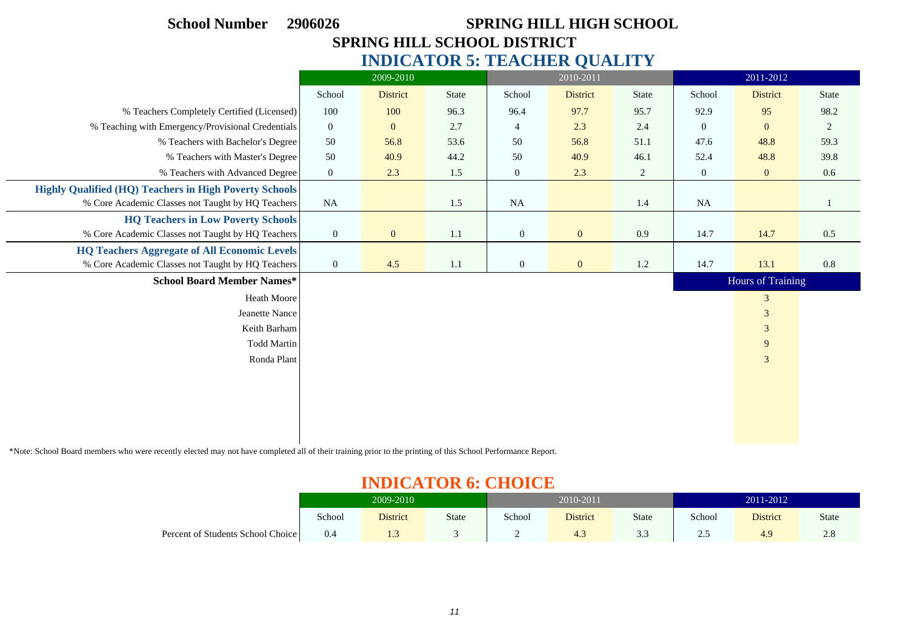| <b>School Number</b>                                          | <b>SPRING HILL HIGH SCHOOL</b><br>2906026<br>SPRING HILL SCHOOL DISTRICT |                 |              |                  |                                     |         |                  |                   |              |  |  |  |  |
|---------------------------------------------------------------|--------------------------------------------------------------------------|-----------------|--------------|------------------|-------------------------------------|---------|------------------|-------------------|--------------|--|--|--|--|
|                                                               |                                                                          |                 |              |                  |                                     |         |                  |                   |              |  |  |  |  |
|                                                               |                                                                          |                 |              |                  | <b>INDICATOR 5: TEACHER QUALITY</b> |         |                  |                   |              |  |  |  |  |
|                                                               |                                                                          | 2009-2010       |              |                  | 2010-2011                           |         |                  | 2011-2012         |              |  |  |  |  |
|                                                               | School                                                                   | <b>District</b> | <b>State</b> | School           | <b>District</b>                     | State   | School           | <b>District</b>   | <b>State</b> |  |  |  |  |
| % Teachers Completely Certified (Licensed)                    | 100                                                                      | 100             | 96.3         | 96.4             | 97.7                                | 95.7    | 92.9             | 95                | 98.2         |  |  |  |  |
| % Teaching with Emergency/Provisional Credentials             | $\boldsymbol{0}$                                                         | $\mathbf{0}$    | 2.7          | 4                | 2.3                                 | 2.4     | $\mathbf{0}$     | $\mathbf{0}$      | 2            |  |  |  |  |
| % Teachers with Bachelor's Degree                             | 50                                                                       | 56.8            | 53.6         | 50               | 56.8                                | 51.1    | 47.6             | 48.8              | 59.3         |  |  |  |  |
| % Teachers with Master's Degree                               | 50                                                                       | 40.9            | 44.2         | 50               | 40.9                                | 46.1    | 52.4             | 48.8              | 39.8         |  |  |  |  |
| % Teachers with Advanced Degree                               | $\boldsymbol{0}$                                                         | 2.3             | 1.5          | $\boldsymbol{0}$ | 2.3                                 | 2       | $\boldsymbol{0}$ | $\mathbf{0}$      | 0.6          |  |  |  |  |
| <b>Highly Qualified (HQ) Teachers in High Poverty Schools</b> |                                                                          |                 |              |                  |                                     |         |                  |                   |              |  |  |  |  |
| % Core Academic Classes not Taught by HQ Teachers             | NA                                                                       |                 | 1.5          | NA               |                                     | 1.4     | <b>NA</b>        |                   |              |  |  |  |  |
| <b>HQ Teachers in Low Poverty Schools</b>                     |                                                                          |                 |              |                  |                                     |         |                  |                   |              |  |  |  |  |
| % Core Academic Classes not Taught by HQ Teachers             | $\boldsymbol{0}$                                                         | $\mathbf{0}$    | 1.1          | $\boldsymbol{0}$ | $\mathbf{0}$                        | 0.9     | 14.7             | 14.7              | 0.5          |  |  |  |  |
| <b>HQ Teachers Aggregate of All Economic Levels</b>           |                                                                          |                 |              |                  |                                     |         |                  |                   |              |  |  |  |  |
| % Core Academic Classes not Taught by HQ Teachers             | $\boldsymbol{0}$                                                         | 4.5             | 1.1          | $\boldsymbol{0}$ | $\mathbf{0}$                        | $1.2\,$ | 14.7             | 13.1              | 0.8          |  |  |  |  |
| <b>School Board Member Names*</b>                             |                                                                          |                 |              |                  |                                     |         |                  | Hours of Training |              |  |  |  |  |
| Heath Moore                                                   |                                                                          |                 |              |                  |                                     |         |                  | 3                 |              |  |  |  |  |
| Jeanette Nance                                                |                                                                          |                 |              |                  |                                     |         |                  | $\mathfrak{Z}$    |              |  |  |  |  |
| Keith Barham                                                  |                                                                          |                 |              |                  |                                     |         |                  | $\mathfrak{Z}$    |              |  |  |  |  |
| <b>Todd Martin</b>                                            |                                                                          |                 |              |                  |                                     |         |                  | $\boldsymbol{9}$  |              |  |  |  |  |
| Ronda Plant                                                   |                                                                          |                 |              |                  |                                     |         |                  | $\mathfrak{Z}$    |              |  |  |  |  |
|                                                               |                                                                          |                 |              |                  |                                     |         |                  |                   |              |  |  |  |  |
|                                                               |                                                                          |                 |              |                  |                                     |         |                  |                   |              |  |  |  |  |
|                                                               |                                                                          |                 |              |                  |                                     |         |                  |                   |              |  |  |  |  |
|                                                               |                                                                          |                 |              |                  |                                     |         |                  |                   |              |  |  |  |  |
|                                                               |                                                                          |                 |              |                  |                                     |         |                  |                   |              |  |  |  |  |

\*Note: School Board members who were recently elected may not have completed all of their training prior to the printing of this School Performance Report.

 $\sim$ 

 $\overline{\phantom{0}}$ 

# **INDICATOR 6: CHOICE**

| _______________                   |           |                 |       |           |                 |       |           |                 |       |
|-----------------------------------|-----------|-----------------|-------|-----------|-----------------|-------|-----------|-----------------|-------|
|                                   | 2009-2010 |                 |       | 2010-2011 |                 |       | 2011-2012 |                 |       |
|                                   | School    | <b>District</b> | State | School    | <b>District</b> | State | School    | <b>District</b> | State |
| Percent of Students School Choice | 0.4       | 1.5             |       | ∸         |                 | ن د   | ن ، سه    | 4.9             | 2.8   |